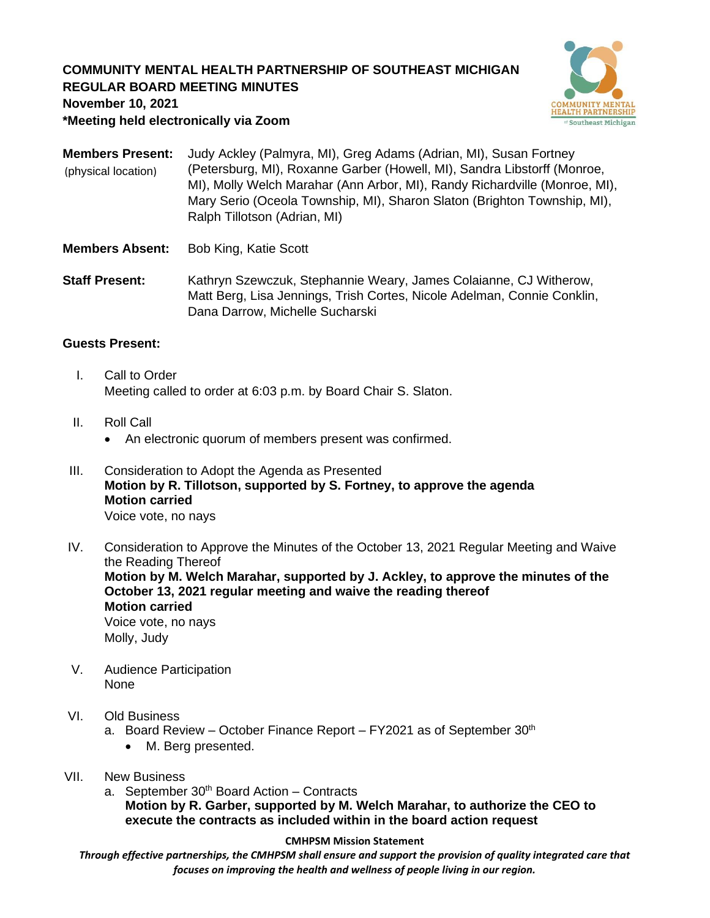# **COMMUNITY MENTAL HEALTH PARTNERSHIP OF SOUTHEAST MICHIGAN REGULAR BOARD MEETING MINUTES**



**November 10, 2021**

**\*Meeting held electronically via Zoom**

**Members Present:** Judy Ackley (Palmyra, MI), Greg Adams (Adrian, MI), Susan Fortney (Petersburg, MI), Roxanne Garber (Howell, MI), Sandra Libstorff (Monroe, MI), Molly Welch Marahar (Ann Arbor, MI), Randy Richardville (Monroe, MI), Mary Serio (Oceola Township, MI), Sharon Slaton (Brighton Township, MI), Ralph Tillotson (Adrian, MI) (physical location)

- **Members Absent:** Bob King, Katie Scott
- **Staff Present:** Kathryn Szewczuk, Stephannie Weary, James Colaianne, CJ Witherow, Matt Berg, Lisa Jennings, Trish Cortes, Nicole Adelman, Connie Conklin, Dana Darrow, Michelle Sucharski

## **Guests Present:**

- I. Call to Order Meeting called to order at 6:03 p.m. by Board Chair S. Slaton.
- II. Roll Call
	- An electronic quorum of members present was confirmed.
- III. Consideration to Adopt the Agenda as Presented **Motion by R. Tillotson, supported by S. Fortney, to approve the agenda Motion carried** Voice vote, no nays
- IV. Consideration to Approve the Minutes of the October 13, 2021 Regular Meeting and Waive the Reading Thereof **Motion by M. Welch Marahar, supported by J. Ackley, to approve the minutes of the October 13, 2021 regular meeting and waive the reading thereof Motion carried** Voice vote, no nays Molly, Judy
- V. Audience Participation None

### VI. Old Business

- a. Board Review October Finance Report FY2021 as of September  $30<sup>th</sup>$ 
	- M. Berg presented.
- VII. New Business
	- a. September  $30<sup>th</sup>$  Board Action Contracts **Motion by R. Garber, supported by M. Welch Marahar, to authorize the CEO to execute the contracts as included within in the board action request**

#### **CMHPSM Mission Statement**

*Through effective partnerships, the CMHPSM shall ensure and support the provision of quality integrated care that focuses on improving the health and wellness of people living in our region.*